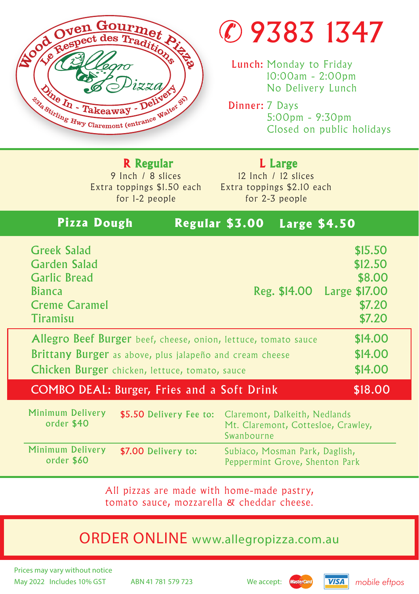

## 9383 1347

Lunch: Monday to Friday 10:00am - 2:00pm No Delivery Lunch

Dinner: 7 Days 5:00pm - 9:30pm Closed on public holidays

9 Inch / 8 slices Extra toppings \$1.50 each for 1-2 people R Regular

12 Inch / 12 slices Extra toppings \$2.10 each for 2-3 people L Large

## **Pizza Dough Regular \$3.00 Large \$4.50**

| <b>Greek Salad</b>                                             | \$15.50                    |
|----------------------------------------------------------------|----------------------------|
| <b>Garden Salad</b>                                            | \$12.50                    |
| <b>Garlic Bread</b>                                            | \$8.00                     |
| <b>Bianca</b>                                                  | Reg. \$14.00 Large \$17.00 |
| <b>Creme Caramel</b>                                           | \$7.20                     |
| Tiramisu                                                       | \$7.20                     |
| Allegro Beef Burger beef, cheese, onion, lettuce, tomato sauce | \$14.00                    |
| Brittany Burger as above, plus jalapeño and cream cheese       | \$14.00                    |
| Chicken Burger chicken, lettuce, tomato, sauce                 | \$14.00                    |
| <b>COMBO DEAL: Burger, Fries and a Soft Drink</b>              | \$18.00                    |

| Minimum Delivery<br>order \$40 |                     | \$5.50 Delivery Fee to: Claremont, Dalkeith, Nedlands<br>Mt. Claremont, Cottesloe, Crawley,<br>Swanbourne |
|--------------------------------|---------------------|-----------------------------------------------------------------------------------------------------------|
| Minimum Delivery<br>order \$60 | \$7.00 Delivery to: | Subiaco, Mosman Park, Daglish,<br>Peppermint Grove, Shenton Park                                          |

All pizzas are made with home-made pastry, tomato sauce, mozzarella & cheddar cheese.

## ORDER ONLINE www.allegropizza.com.au

May 2022 Includes 10% GST ABN 41 781 579 723 We accept: **Mastercard VISA** mobile eftpos Prices may vary without notice